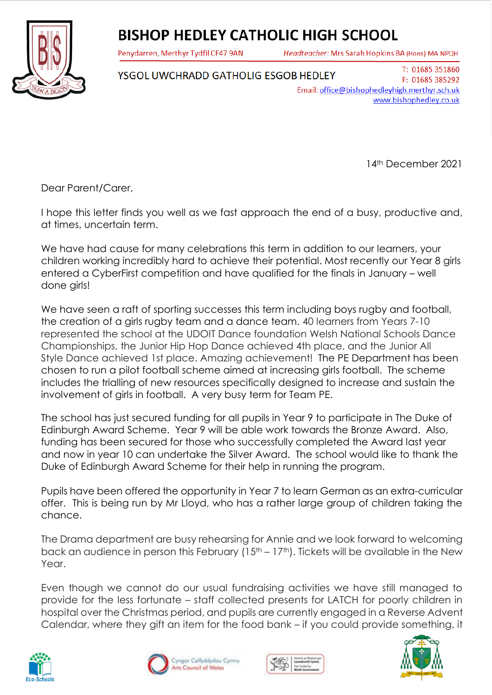## **BISHOP HEDLEY CATHOLIC HIGH SCHOOL**

Penydarren, Merthyr Tydfil CF47 9AN

Headteacher: Mrs Sarah Hopkins BA (Hons) MA NPQH



YSGOL UWCHRADD GATHOLIG ESGOB HEDLEY Email: office@bishophedleyhigh.merthyr.sch.uk

14th December 2021

www.bishophedley.co.uk

T: 01685 351860

F: 01685 385292

Dear Parent/Carer,

I hope this letter finds you well as we fast approach the end of a busy, productive and, at times, uncertain term.

We have had cause for many celebrations this term in addition to our learners, your children working incredibly hard to achieve their potential. Most recently our Year 8 girls entered a CyberFirst competition and have qualified for the finals in January – well done girls!

We have seen a raft of sporting successes this term including boys rugby and football, the creation of a girls rugby team and a dance team. 40 learners from Years 7-10 represented the school at the UDOIT Dance foundation Welsh National Schools Dance Championships, the Junior Hip Hop Dance achieved 4th place, and the Junior All Style Dance achieved 1st place. Amazing achievement! The PE Department has been chosen to run a pilot football scheme aimed at increasing girls football. The scheme includes the trialling of new resources specifically designed to increase and sustain the involvement of girls in football. A very busy term for Team PE.

The school has just secured funding for all pupils in Year 9 to participate in The Duke of Edinburgh Award Scheme. Year 9 will be able work towards the Bronze Award. Also, funding has been secured for those who successfully completed the Award last year and now in year 10 can undertake the Silver Award. The school would like to thank the Duke of Edinburgh Award Scheme for their help in running the program.

Pupils have been offered the opportunity in Year 7 to learn German as an extra-curricular offer. This is being run by Mr Lloyd, who has a rather large group of children taking the chance.

The Drama department are busy rehearsing for Annie and we look forward to welcoming back an audience in person this February ( $15<sup>th</sup> - 17<sup>th</sup>$ ). Tickets will be available in the New Year.

Even though we cannot do our usual fundraising activities we have still managed to provide for the less fortunate – staff collected presents for LATCH for poorly children in hospital over the Christmas period, and pupils are currently engaged in a Reverse Advent Calendar, where they gift an item for the food bank – if you could provide something, it